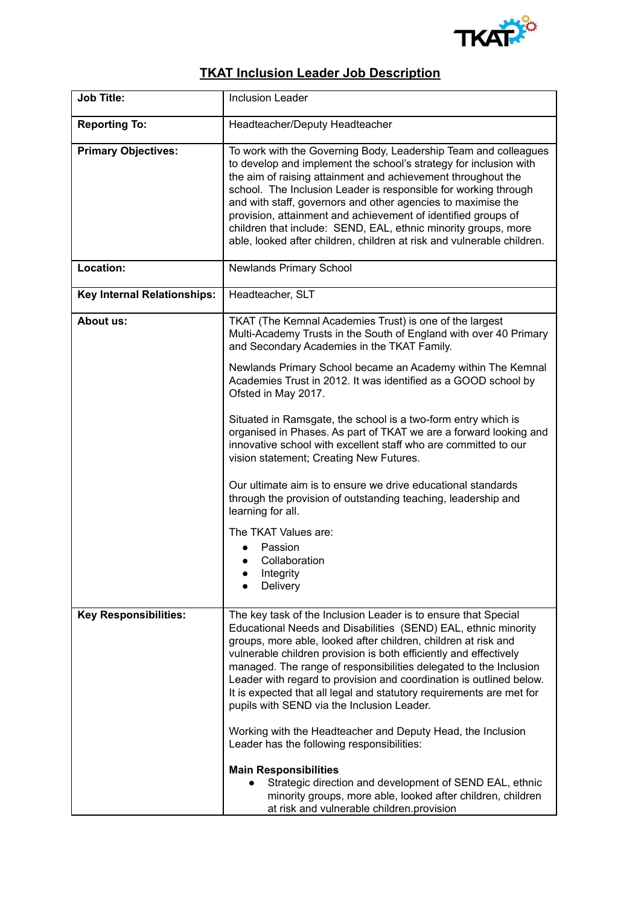

## **TKAT Inclusion Leader Job Description**

| <b>Job Title:</b>                  | <b>Inclusion Leader</b>                                                                                                                                                                                                                                                                                                                                                                                                                                                                                                                                                                                                                                                                                                                                                                                                                                       |
|------------------------------------|---------------------------------------------------------------------------------------------------------------------------------------------------------------------------------------------------------------------------------------------------------------------------------------------------------------------------------------------------------------------------------------------------------------------------------------------------------------------------------------------------------------------------------------------------------------------------------------------------------------------------------------------------------------------------------------------------------------------------------------------------------------------------------------------------------------------------------------------------------------|
| <b>Reporting To:</b>               | Headteacher/Deputy Headteacher                                                                                                                                                                                                                                                                                                                                                                                                                                                                                                                                                                                                                                                                                                                                                                                                                                |
| <b>Primary Objectives:</b>         | To work with the Governing Body, Leadership Team and colleagues<br>to develop and implement the school's strategy for inclusion with<br>the aim of raising attainment and achievement throughout the<br>school. The Inclusion Leader is responsible for working through<br>and with staff, governors and other agencies to maximise the<br>provision, attainment and achievement of identified groups of<br>children that include: SEND, EAL, ethnic minority groups, more<br>able, looked after children, children at risk and vulnerable children.                                                                                                                                                                                                                                                                                                          |
| Location:                          | <b>Newlands Primary School</b>                                                                                                                                                                                                                                                                                                                                                                                                                                                                                                                                                                                                                                                                                                                                                                                                                                |
| <b>Key Internal Relationships:</b> | Headteacher, SLT                                                                                                                                                                                                                                                                                                                                                                                                                                                                                                                                                                                                                                                                                                                                                                                                                                              |
| <b>About us:</b>                   | TKAT (The Kemnal Academies Trust) is one of the largest<br>Multi-Academy Trusts in the South of England with over 40 Primary<br>and Secondary Academies in the TKAT Family.                                                                                                                                                                                                                                                                                                                                                                                                                                                                                                                                                                                                                                                                                   |
|                                    | Newlands Primary School became an Academy within The Kemnal<br>Academies Trust in 2012. It was identified as a GOOD school by<br>Ofsted in May 2017.                                                                                                                                                                                                                                                                                                                                                                                                                                                                                                                                                                                                                                                                                                          |
|                                    | Situated in Ramsgate, the school is a two-form entry which is<br>organised in Phases. As part of TKAT we are a forward looking and<br>innovative school with excellent staff who are committed to our<br>vision statement; Creating New Futures.                                                                                                                                                                                                                                                                                                                                                                                                                                                                                                                                                                                                              |
|                                    | Our ultimate aim is to ensure we drive educational standards<br>through the provision of outstanding teaching, leadership and<br>learning for all.                                                                                                                                                                                                                                                                                                                                                                                                                                                                                                                                                                                                                                                                                                            |
|                                    | The TKAT Values are:                                                                                                                                                                                                                                                                                                                                                                                                                                                                                                                                                                                                                                                                                                                                                                                                                                          |
|                                    | Passion<br>Collaboration<br>$\bullet$                                                                                                                                                                                                                                                                                                                                                                                                                                                                                                                                                                                                                                                                                                                                                                                                                         |
|                                    | Integrity<br>Delivery                                                                                                                                                                                                                                                                                                                                                                                                                                                                                                                                                                                                                                                                                                                                                                                                                                         |
| <b>Key Responsibilities:</b>       | The key task of the Inclusion Leader is to ensure that Special<br>Educational Needs and Disabilities (SEND) EAL, ethnic minority<br>groups, more able, looked after children, children at risk and<br>vulnerable children provision is both efficiently and effectively<br>managed. The range of responsibilities delegated to the Inclusion<br>Leader with regard to provision and coordination is outlined below.<br>It is expected that all legal and statutory requirements are met for<br>pupils with SEND via the Inclusion Leader.<br>Working with the Headteacher and Deputy Head, the Inclusion<br>Leader has the following responsibilities:<br><b>Main Responsibilities</b><br>Strategic direction and development of SEND EAL, ethnic<br>minority groups, more able, looked after children, children<br>at risk and vulnerable children.provision |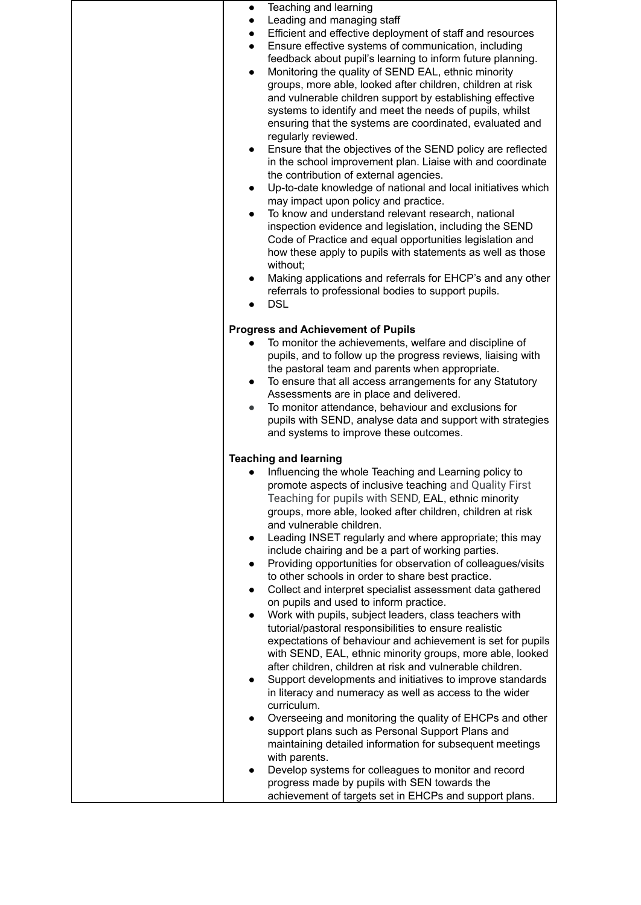| Teaching and learning<br>$\bullet$<br>Leading and managing staff<br>$\bullet$<br>Efficient and effective deployment of staff and resources<br>$\bullet$<br>Ensure effective systems of communication, including<br>$\bullet$<br>feedback about pupil's learning to inform future planning.<br>Monitoring the quality of SEND EAL, ethnic minority<br>$\bullet$<br>groups, more able, looked after children, children at risk<br>and vulnerable children support by establishing effective<br>systems to identify and meet the needs of pupils, whilst<br>ensuring that the systems are coordinated, evaluated and<br>regularly reviewed.<br>Ensure that the objectives of the SEND policy are reflected<br>in the school improvement plan. Liaise with and coordinate<br>the contribution of external agencies.<br>Up-to-date knowledge of national and local initiatives which<br>$\bullet$<br>may impact upon policy and practice.<br>To know and understand relevant research, national<br>inspection evidence and legislation, including the SEND<br>Code of Practice and equal opportunities legislation and<br>how these apply to pupils with statements as well as those<br>without;<br>Making applications and referrals for EHCP's and any other<br>referrals to professional bodies to support pupils.<br><b>DSL</b>                                                                                                                                                 |
|--------------------------------------------------------------------------------------------------------------------------------------------------------------------------------------------------------------------------------------------------------------------------------------------------------------------------------------------------------------------------------------------------------------------------------------------------------------------------------------------------------------------------------------------------------------------------------------------------------------------------------------------------------------------------------------------------------------------------------------------------------------------------------------------------------------------------------------------------------------------------------------------------------------------------------------------------------------------------------------------------------------------------------------------------------------------------------------------------------------------------------------------------------------------------------------------------------------------------------------------------------------------------------------------------------------------------------------------------------------------------------------------------------------------------------------------------------------------------------|
| <b>Progress and Achievement of Pupils</b><br>To monitor the achievements, welfare and discipline of<br>pupils, and to follow up the progress reviews, liaising with<br>the pastoral team and parents when appropriate.<br>To ensure that all access arrangements for any Statutory<br>$\bullet$<br>Assessments are in place and delivered.<br>To monitor attendance, behaviour and exclusions for<br>pupils with SEND, analyse data and support with strategies<br>and systems to improve these outcomes.                                                                                                                                                                                                                                                                                                                                                                                                                                                                                                                                                                                                                                                                                                                                                                                                                                                                                                                                                                      |
| <b>Teaching and learning</b><br>Influencing the whole Teaching and Learning policy to<br>promote aspects of inclusive teaching and Quality First<br>Teaching for pupils with SEND, EAL, ethnic minority<br>groups, more able, looked after children, children at risk<br>and vulnerable children.<br>Leading INSET regularly and where appropriate; this may<br>$\bullet$<br>include chairing and be a part of working parties.<br>Providing opportunities for observation of colleagues/visits<br>to other schools in order to share best practice.<br>Collect and interpret specialist assessment data gathered<br>on pupils and used to inform practice.<br>Work with pupils, subject leaders, class teachers with<br>tutorial/pastoral responsibilities to ensure realistic<br>expectations of behaviour and achievement is set for pupils<br>with SEND, EAL, ethnic minority groups, more able, looked<br>after children, children at risk and vulnerable children.<br>Support developments and initiatives to improve standards<br>in literacy and numeracy as well as access to the wider<br>curriculum.<br>Overseeing and monitoring the quality of EHCPs and other<br>support plans such as Personal Support Plans and<br>maintaining detailed information for subsequent meetings<br>with parents.<br>Develop systems for colleagues to monitor and record<br>progress made by pupils with SEN towards the<br>achievement of targets set in EHCPs and support plans. |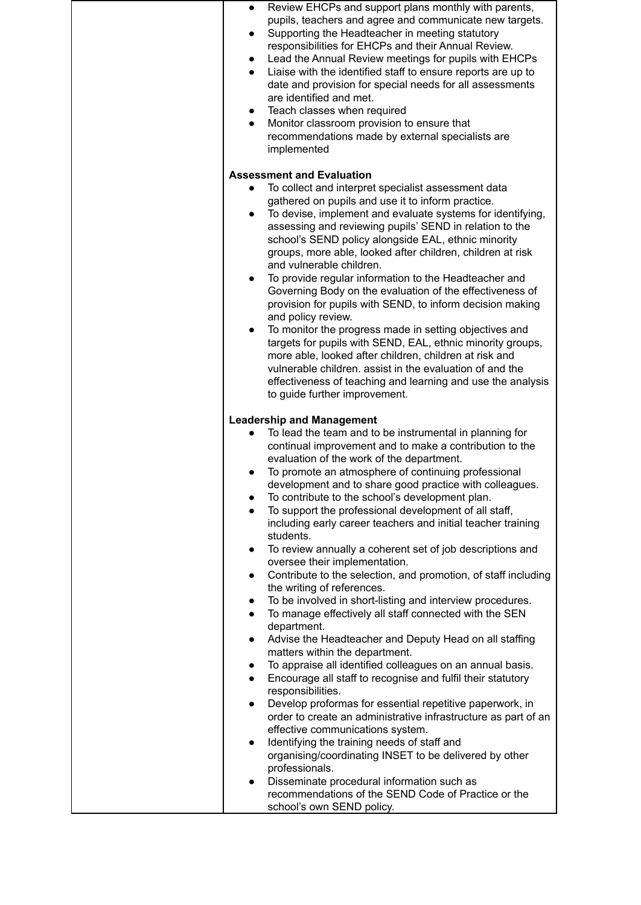| Review EHCPs and support plans monthly with parents,<br>pupils, teachers and agree and communicate new targets.<br>Supporting the Headteacher in meeting statutory<br>$\bullet$<br>responsibilities for EHCPs and their Annual Review.<br>Lead the Annual Review meetings for pupils with EHCPs<br>Liaise with the identified staff to ensure reports are up to<br>$\bullet$<br>date and provision for special needs for all assessments<br>are identified and met.<br>Teach classes when required<br>$\bullet$<br>Monitor classroom provision to ensure that<br>$\bullet$<br>recommendations made by external specialists are<br>implemented                                                                                                                                                                                                                                                                                                                                                                                                                                                                                                                                                                                                                                                                                                                                                                                                                                                                                                                                                                                                                                 |
|-------------------------------------------------------------------------------------------------------------------------------------------------------------------------------------------------------------------------------------------------------------------------------------------------------------------------------------------------------------------------------------------------------------------------------------------------------------------------------------------------------------------------------------------------------------------------------------------------------------------------------------------------------------------------------------------------------------------------------------------------------------------------------------------------------------------------------------------------------------------------------------------------------------------------------------------------------------------------------------------------------------------------------------------------------------------------------------------------------------------------------------------------------------------------------------------------------------------------------------------------------------------------------------------------------------------------------------------------------------------------------------------------------------------------------------------------------------------------------------------------------------------------------------------------------------------------------------------------------------------------------------------------------------------------------|
| <b>Assessment and Evaluation</b><br>To collect and interpret specialist assessment data<br>gathered on pupils and use it to inform practice.<br>To devise, implement and evaluate systems for identifying,<br>$\bullet$<br>assessing and reviewing pupils' SEND in relation to the<br>school's SEND policy alongside EAL, ethnic minority<br>groups, more able, looked after children, children at risk<br>and vulnerable children.<br>To provide regular information to the Headteacher and<br>$\bullet$<br>Governing Body on the evaluation of the effectiveness of<br>provision for pupils with SEND, to inform decision making<br>and policy review.<br>To monitor the progress made in setting objectives and<br>$\bullet$<br>targets for pupils with SEND, EAL, ethnic minority groups,<br>more able, looked after children, children at risk and<br>vulnerable children. assist in the evaluation of and the<br>effectiveness of teaching and learning and use the analysis<br>to guide further improvement.                                                                                                                                                                                                                                                                                                                                                                                                                                                                                                                                                                                                                                                           |
| <b>Leadership and Management</b><br>To lead the team and to be instrumental in planning for<br>continual improvement and to make a contribution to the<br>evaluation of the work of the department.<br>To promote an atmosphere of continuing professional<br>$\bullet$<br>development and to share good practice with colleagues.<br>To contribute to the school's development plan.<br>To support the professional development of all staff,<br>$\bullet$<br>including early career teachers and initial teacher training<br>students.<br>To review annually a coherent set of job descriptions and<br>$\bullet$<br>oversee their implementation.<br>Contribute to the selection, and promotion, of staff including<br>$\bullet$<br>the writing of references.<br>To be involved in short-listing and interview procedures.<br>To manage effectively all staff connected with the SEN<br>$\bullet$<br>department.<br>Advise the Headteacher and Deputy Head on all staffing<br>$\bullet$<br>matters within the department.<br>To appraise all identified colleagues on an annual basis.<br>$\bullet$<br>Encourage all staff to recognise and fulfil their statutory<br>$\bullet$<br>responsibilities.<br>Develop proformas for essential repetitive paperwork, in<br>$\bullet$<br>order to create an administrative infrastructure as part of an<br>effective communications system.<br>Identifying the training needs of staff and<br>$\bullet$<br>organising/coordinating INSET to be delivered by other<br>professionals.<br>Disseminate procedural information such as<br>$\bullet$<br>recommendations of the SEND Code of Practice or the<br>school's own SEND policy. |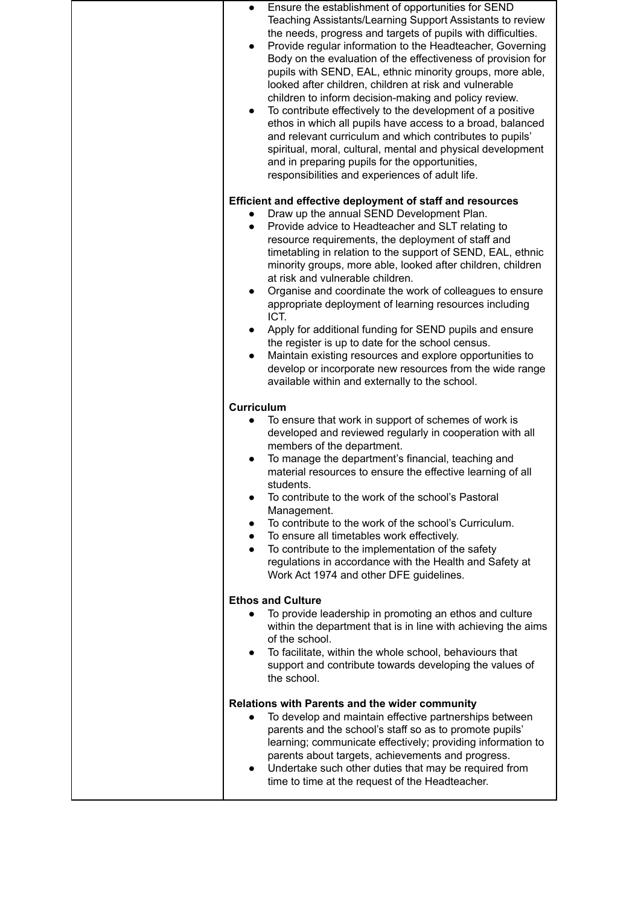| Ensure the establishment of opportunities for SEND<br>Teaching Assistants/Learning Support Assistants to review<br>the needs, progress and targets of pupils with difficulties.<br>Provide regular information to the Headteacher, Governing<br>$\bullet$<br>Body on the evaluation of the effectiveness of provision for<br>pupils with SEND, EAL, ethnic minority groups, more able,<br>looked after children, children at risk and vulnerable<br>children to inform decision-making and policy review.<br>To contribute effectively to the development of a positive<br>$\bullet$<br>ethos in which all pupils have access to a broad, balanced<br>and relevant curriculum and which contributes to pupils'<br>spiritual, moral, cultural, mental and physical development<br>and in preparing pupils for the opportunities,<br>responsibilities and experiences of adult life. |
|------------------------------------------------------------------------------------------------------------------------------------------------------------------------------------------------------------------------------------------------------------------------------------------------------------------------------------------------------------------------------------------------------------------------------------------------------------------------------------------------------------------------------------------------------------------------------------------------------------------------------------------------------------------------------------------------------------------------------------------------------------------------------------------------------------------------------------------------------------------------------------|
| Efficient and effective deployment of staff and resources                                                                                                                                                                                                                                                                                                                                                                                                                                                                                                                                                                                                                                                                                                                                                                                                                          |
| Draw up the annual SEND Development Plan.<br>Provide advice to Headteacher and SLT relating to<br>resource requirements, the deployment of staff and<br>timetabling in relation to the support of SEND, EAL, ethnic<br>minority groups, more able, looked after children, children<br>at risk and vulnerable children.<br>Organise and coordinate the work of colleagues to ensure<br>$\bullet$<br>appropriate deployment of learning resources including<br>ICT.                                                                                                                                                                                                                                                                                                                                                                                                                  |
| Apply for additional funding for SEND pupils and ensure<br>the register is up to date for the school census.<br>Maintain existing resources and explore opportunities to<br>develop or incorporate new resources from the wide range<br>available within and externally to the school.                                                                                                                                                                                                                                                                                                                                                                                                                                                                                                                                                                                             |
| <b>Curriculum</b>                                                                                                                                                                                                                                                                                                                                                                                                                                                                                                                                                                                                                                                                                                                                                                                                                                                                  |
| To ensure that work in support of schemes of work is<br>developed and reviewed regularly in cooperation with all<br>members of the department.<br>To manage the department's financial, teaching and<br>material resources to ensure the effective learning of all<br>students.<br>To contribute to the work of the school's Pastoral<br>Management.<br>To contribute to the work of the school's Curriculum.<br>To ensure all timetables work effectively.<br>$\bullet$<br>To contribute to the implementation of the safety<br>regulations in accordance with the Health and Safety at<br>Work Act 1974 and other DFE guidelines.                                                                                                                                                                                                                                                |
| <b>Ethos and Culture</b>                                                                                                                                                                                                                                                                                                                                                                                                                                                                                                                                                                                                                                                                                                                                                                                                                                                           |
| To provide leadership in promoting an ethos and culture<br>within the department that is in line with achieving the aims<br>of the school.<br>To facilitate, within the whole school, behaviours that<br>support and contribute towards developing the values of<br>the school.                                                                                                                                                                                                                                                                                                                                                                                                                                                                                                                                                                                                    |
| Relations with Parents and the wider community                                                                                                                                                                                                                                                                                                                                                                                                                                                                                                                                                                                                                                                                                                                                                                                                                                     |
| To develop and maintain effective partnerships between<br>parents and the school's staff so as to promote pupils'<br>learning; communicate effectively; providing information to<br>parents about targets, achievements and progress.<br>Undertake such other duties that may be required from<br>time to time at the request of the Headteacher.                                                                                                                                                                                                                                                                                                                                                                                                                                                                                                                                  |